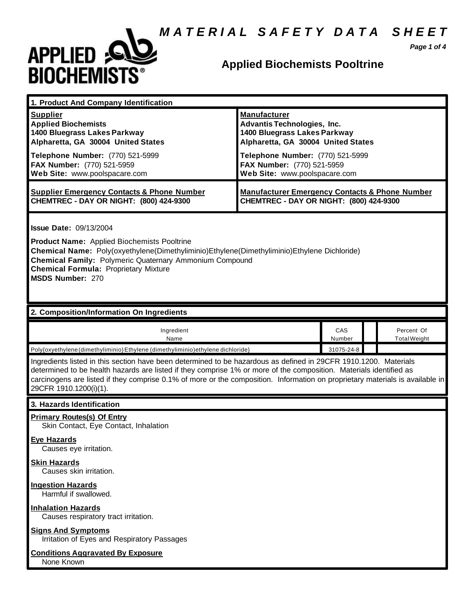## *M A T E R I A L S A F E T Y D A T A S H E E T*



## **Applied Biochemists Pooltrine**

*Page 1 of 4*

| 1. Product And Company Identification                                                                                                                                                                                                                                                                                                                                                                                                 |                                                                                                                                                                                                                                    |               |  |                                   |  |
|---------------------------------------------------------------------------------------------------------------------------------------------------------------------------------------------------------------------------------------------------------------------------------------------------------------------------------------------------------------------------------------------------------------------------------------|------------------------------------------------------------------------------------------------------------------------------------------------------------------------------------------------------------------------------------|---------------|--|-----------------------------------|--|
| <b>Supplier</b><br><b>Applied Biochemists</b><br>1400 Bluegrass Lakes Parkway<br>Alpharetta, GA 30004 United States<br>Telephone Number: (770) 521-5999<br>FAX Number: (770) 521-5959<br>Web Site: www.poolspacare.com                                                                                                                                                                                                                | <b>Manufacturer</b><br><b>Advantis Technologies, Inc.</b><br>1400 Bluegrass Lakes Parkway<br>Alpharetta, GA 30004 United States<br>Telephone Number: (770) 521-5999<br>FAX Number: (770) 521-5959<br>Web Site: www.poolspacare.com |               |  |                                   |  |
| <b>Supplier Emergency Contacts &amp; Phone Number</b><br>CHEMTREC - DAY OR NIGHT: (800) 424-9300                                                                                                                                                                                                                                                                                                                                      | <b>Manufacturer Emergency Contacts &amp; Phone Number</b><br>CHEMTREC - DAY OR NIGHT: (800) 424-9300                                                                                                                               |               |  |                                   |  |
| <b>Issue Date: 09/13/2004</b><br><b>Product Name:</b> Applied Biochemists Pooltrine<br>Chemical Name: Poly(oxyethylene(Dimethyliminio)Ethylene(Dimethyliminio)Ethylene Dichloride)<br><b>Chemical Family: Polymeric Quaternary Ammonium Compound</b><br><b>Chemical Formula: Proprietary Mixture</b><br><b>MSDS Number: 270</b>                                                                                                       |                                                                                                                                                                                                                                    |               |  |                                   |  |
| 2. Composition/Information On Ingredients                                                                                                                                                                                                                                                                                                                                                                                             |                                                                                                                                                                                                                                    |               |  |                                   |  |
| Ingredient<br>Name                                                                                                                                                                                                                                                                                                                                                                                                                    |                                                                                                                                                                                                                                    | CAS<br>Number |  | Percent Of<br><b>Total Weight</b> |  |
| Poly{oxyethylene (dimethyliminio) Ethylene (dimethyliminio) ethylene dichloride}                                                                                                                                                                                                                                                                                                                                                      |                                                                                                                                                                                                                                    | 31075-24-8    |  |                                   |  |
| Ingredients listed in this section have been determined to be hazardous as defined in 29CFR 1910.1200. Materials<br>determined to be health hazards are listed if they comprise 1% or more of the composition. Materials identified as<br>carcinogens are listed if they comprise 0.1% of more or the composition. Information on proprietary materials is available in<br>29CFR 1910.1200(i)(1).                                     |                                                                                                                                                                                                                                    |               |  |                                   |  |
| 3. Hazards Identification                                                                                                                                                                                                                                                                                                                                                                                                             |                                                                                                                                                                                                                                    |               |  |                                   |  |
| <b>Primary Routes(s) Of Entry</b><br>Skin Contact, Eye Contact, Inhalation<br>Eye Hazards<br>Causes eye irritation.<br><b>Skin Hazards</b><br>Causes skin irritation.<br><b>Ingestion Hazards</b><br>Harmful if swallowed.<br><b>Inhalation Hazards</b><br>Causes respiratory tract irritation.<br><b>Signs And Symptoms</b><br>Irritation of Eyes and Respiratory Passages<br><b>Conditions Aggravated By Exposure</b><br>None Known |                                                                                                                                                                                                                                    |               |  |                                   |  |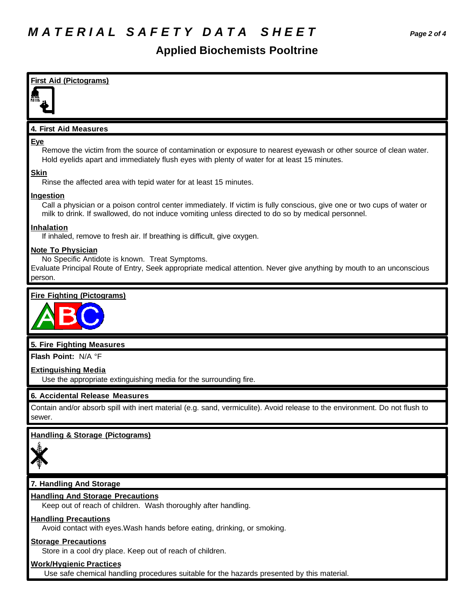### **Applied Biochemists Pooltrine**

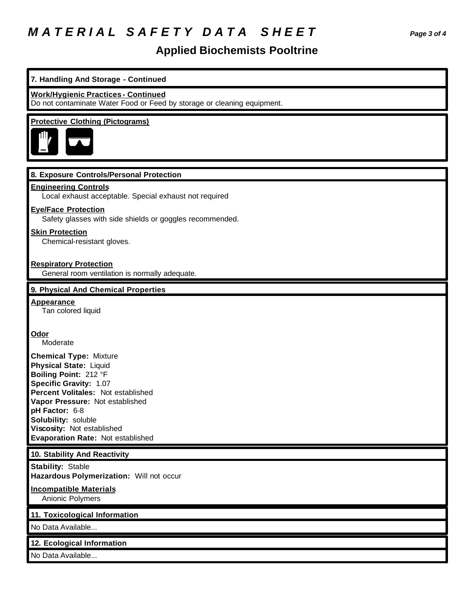# *M A T E R I A L S A F E T Y D A T A S H E E T Page 3 of 4*

## **Applied Biochemists Pooltrine**

| 7. Handling And Storage - Continued                                                                                                                                                                                                                                                                    |
|--------------------------------------------------------------------------------------------------------------------------------------------------------------------------------------------------------------------------------------------------------------------------------------------------------|
| <b>Work/Hygienic Practices - Continued</b><br>Do not contaminate Water Food or Feed by storage or cleaning equipment.                                                                                                                                                                                  |
| <b>Protective Clothing (Pictograms)</b>                                                                                                                                                                                                                                                                |
| 8. Exposure Controls/Personal Protection                                                                                                                                                                                                                                                               |
| <b>Engineering Controls</b><br>Local exhaust acceptable. Special exhaust not required                                                                                                                                                                                                                  |
| <b>Eye/Face Protection</b><br>Safety glasses with side shields or goggles recommended.                                                                                                                                                                                                                 |
| <b>Skin Protection</b><br>Chemical-resistant gloves.                                                                                                                                                                                                                                                   |
| <b>Respiratory Protection</b><br>General room ventilation is normally adequate.                                                                                                                                                                                                                        |
| 9. Physical And Chemical Properties                                                                                                                                                                                                                                                                    |
| <b>Appearance</b><br>Tan colored liquid                                                                                                                                                                                                                                                                |
| Odor<br>Moderate                                                                                                                                                                                                                                                                                       |
| <b>Chemical Type: Mixture</b><br><b>Physical State: Liquid</b><br>Boiling Point: 212 °F<br>Specific Gravity: 1.07<br>Percent Volitales: Not established<br>Vapor Pressure: Not established<br>pH Factor: 6-8<br>Solubility: soluble<br>Viscosity: Not established<br>Evaporation Rate: Not established |
| 10. Stability And Reactivity                                                                                                                                                                                                                                                                           |
| <b>Stability: Stable</b><br>Hazardous Polymerization: Will not occur                                                                                                                                                                                                                                   |
| <b>Incompatible Materials</b><br>Anionic Polymers                                                                                                                                                                                                                                                      |
| 11. Toxicological Information                                                                                                                                                                                                                                                                          |
| No Data Available                                                                                                                                                                                                                                                                                      |
| 12. Ecological Information                                                                                                                                                                                                                                                                             |
| No Data Available                                                                                                                                                                                                                                                                                      |